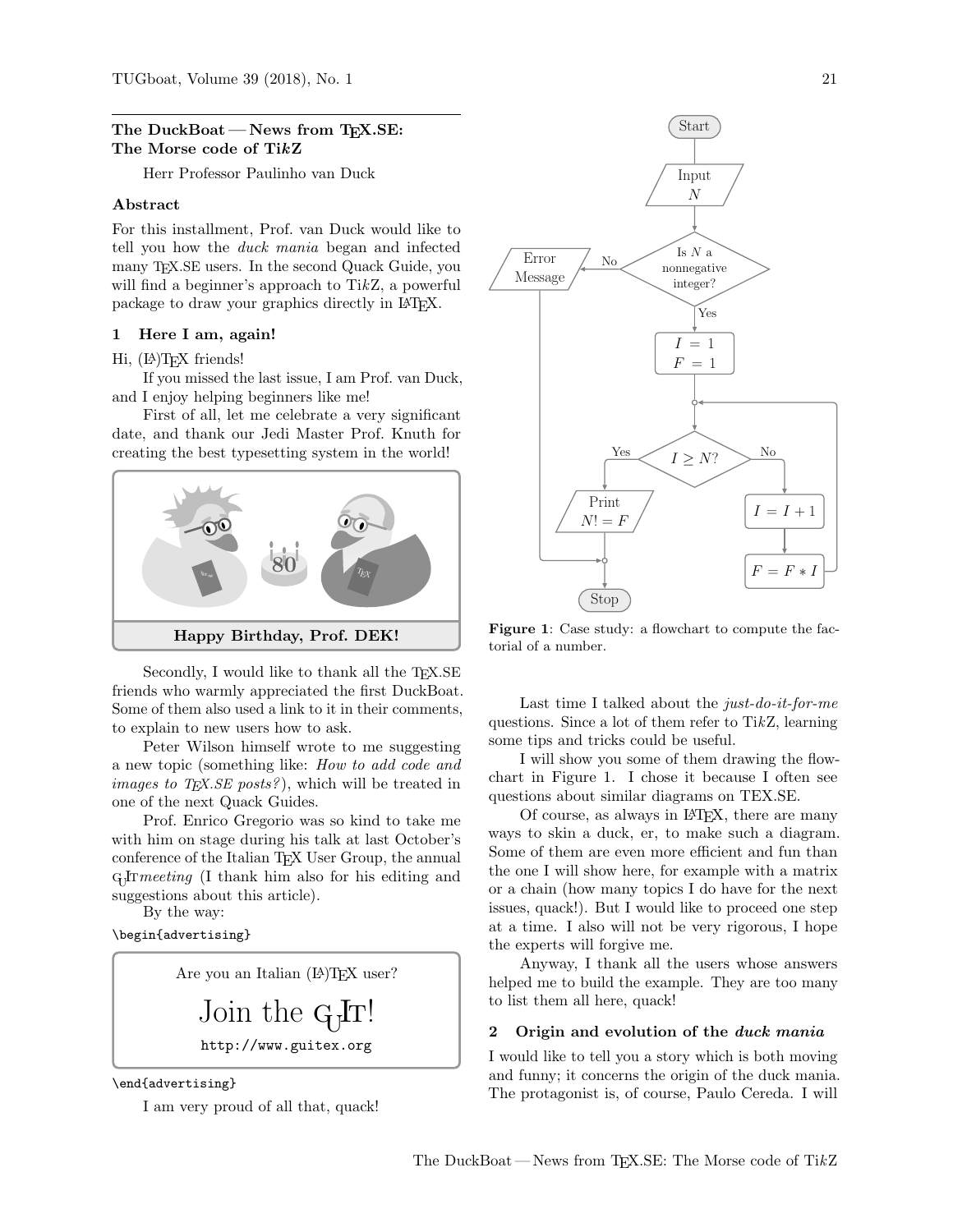## The DuckBoat – News from TFX.SE: The Morse code of TikZ

Herr Professor Paulinho van Duck

## Abstract

For this installment, Prof. van Duck would like to tell you how the duck mania began and infected many T<sub>EX</sub>.SE users. In the second Quack Guide, you will find a beginner's approach to TikZ, a powerful package to draw your graphics directly in L<sup>A</sup>TEX.

### 1 Here I am, again!

### Hi, (LA)T<sub>F</sub>X friends!

If you missed the last issue, I am Prof. van Duck, and I enjoy helping beginners like me!

First of all, let me celebrate a very significant date, and thank our Jedi Master Prof. Knuth for creating the best typesetting system in the world!



Secondly, I would like to thank all the TEX.SE friends who warmly appreciated the first DuckBoat. Some of them also used a link to it in their comments, to explain to new users how to ask.

Peter Wilson himself wrote to me suggesting a new topic (something like: How to add code and *images to T<sub>E</sub>X.SE posts?*), which will be treated in one of the next Quack Guides.

Prof. Enrico Gregorio was so kind to take me with him on stage during his talk at last October's conference of the Italian TEX User Group, the annual  $G_1$ Frmeeting (I thank him also for his editing and suggestions about this article).

By the way:

\begin{advertising}

Are you an Italian (LA)TEX user?

Join the GJT! http://www.guitex.org

\end{advertising}

I am very proud of all that, quack!

<span id="page-0-0"></span>

Figure 1: Case study: a flowchart to compute the factorial of a number.

Last time I talked about the just-do-it-for-me questions. Since a lot of them refer to TikZ, learning some tips and tricks could be useful.

I will show you some of them drawing the flowchart in Figure [1.](#page-0-0) I chose it because I often see questions about similar diagrams on TEX.SE.

Of course, as always in LATEX, there are many ways to skin a duck, er, to make such a diagram. Some of them are even more efficient and fun than the one I will show here, for example with a matrix or a chain (how many topics I do have for the next issues, quack!). But I would like to proceed one step at a time. I also will not be very rigorous, I hope the experts will forgive me.

Anyway, I thank all the users whose answers helped me to build the example. They are too many to list them all here, quack!

## 2 Origin and evolution of the duck mania

I would like to tell you a story which is both moving and funny; it concerns the origin of the duck mania. The protagonist is, of course, Paulo Cereda. I will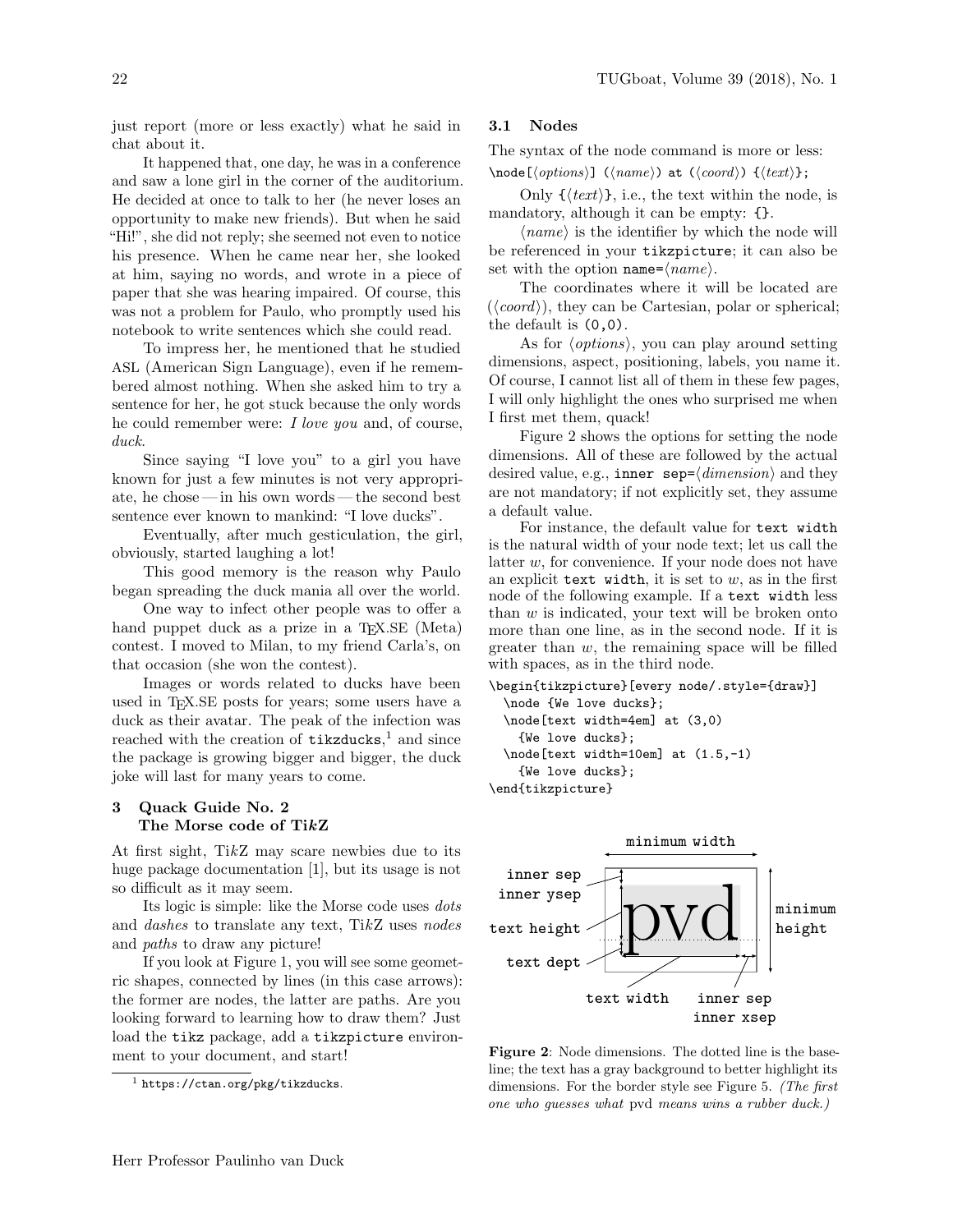just report (more or less exactly) what he said in chat about it.

It happened that, one day, he was in a conference and saw a lone girl in the corner of the auditorium. He decided at once to talk to her (he never loses an opportunity to make new friends). But when he said "Hi!", she did not reply; she seemed not even to notice his presence. When he came near her, she looked at him, saying no words, and wrote in a piece of paper that she was hearing impaired. Of course, this was not a problem for Paulo, who promptly used his notebook to write sentences which she could read.

To impress her, he mentioned that he studied ASL (American Sign Language), even if he remembered almost nothing. When she asked him to try a sentence for her, he got stuck because the only words he could remember were: I love you and, of course, duck.

Since saying "I love you" to a girl you have known for just a few minutes is not very appropriate, he chose— in his own words— the second best sentence ever known to mankind: "I love ducks".

Eventually, after much gesticulation, the girl, obviously, started laughing a lot!

This good memory is the reason why Paulo began spreading the duck mania all over the world.

One way to infect other people was to offer a hand puppet duck as a prize in a T<sub>EX</sub>.SE (Meta) contest. I moved to Milan, to my friend Carla's, on that occasion (she won the contest).

Images or words related to ducks have been used in TEX.SE posts for years; some users have a duck as their avatar. The peak of the infection was reached with the creation of  $\texttt{tikzducks}, \textsuperscript{1}$  $\texttt{tikzducks}, \textsuperscript{1}$  $\texttt{tikzducks}, \textsuperscript{1}$  and since the package is growing bigger and bigger, the duck joke will last for many years to come.

# 3 Quack Guide No. 2 The Morse code of TikZ

At first sight, TikZ may scare newbies due to its huge package documentation [\[1\]](#page-5-0), but its usage is not so difficult as it may seem.

Its logic is simple: like the Morse code uses dots and dashes to translate any text, TikZ uses nodes and paths to draw any picture!

If you look at Figure [1,](#page-0-0) you will see some geometric shapes, connected by lines (in this case arrows): the former are nodes, the latter are paths. Are you looking forward to learning how to draw them? Just load the tikz package, add a tikzpicture environment to your document, and start!

## 3.1 Nodes

The syntax of the node command is more or less:

 $\setminus \text{node}(\text{options}) \mid (\text{name}) \text{ at } (\text{coord}) \text{ if } (\text{text})$ ;

Only  $\{\langle text \rangle\}$ , i.e., the text within the node, is mandatory, although it can be empty:  $\{\}$ .

 $\langle name \rangle$  is the identifier by which the node will be referenced in your tikzpicture; it can also be set with the option name= $\langle name \rangle$ .

The coordinates where it will be located are  $(\langle coord \rangle)$ , they can be Cartesian, polar or spherical; the default is  $(0,0)$ .

As for  $\langle options \rangle$ , you can play around setting dimensions, aspect, positioning, labels, you name it. Of course, I cannot list all of them in these few pages, I will only highlight the ones who surprised me when I first met them, quack!

Figure [2](#page-1-1) shows the options for setting the node dimensions. All of these are followed by the actual desired value, e.g., inner  $sep=\langle dimension \rangle$  and they are not mandatory; if not explicitly set, they assume a default value.

For instance, the default value for text width is the natural width of your node text; let us call the latter w, for convenience. If your node does not have an explicit text width, it is set to  $w$ , as in the first node of the following example. If a text width less than  $w$  is indicated, your text will be broken onto more than one line, as in the second node. If it is greater than  $w$ , the remaining space will be filled with spaces, as in the third node.

```
\begin{tikzpicture}[every node/.style={draw}]
  \node {We love ducks};
  \node[text width=4em] at (3,0)
   {We love ducks};
  \node[text width=10em] at (1.5,-1)
   {We love ducks};
\end{tikzpicture}
```
<span id="page-1-1"></span>

Figure 2: Node dimensions. The dotted line is the baseline; the text has a gray background to better highlight its dimensions. For the border style see Figure [5.](#page-4-0) (The first one who guesses what pvd means wins a rubber duck.)

<span id="page-1-0"></span> $<sup>1</sup>$  <https://ctan.org/pkg/tikzducks>.</sup>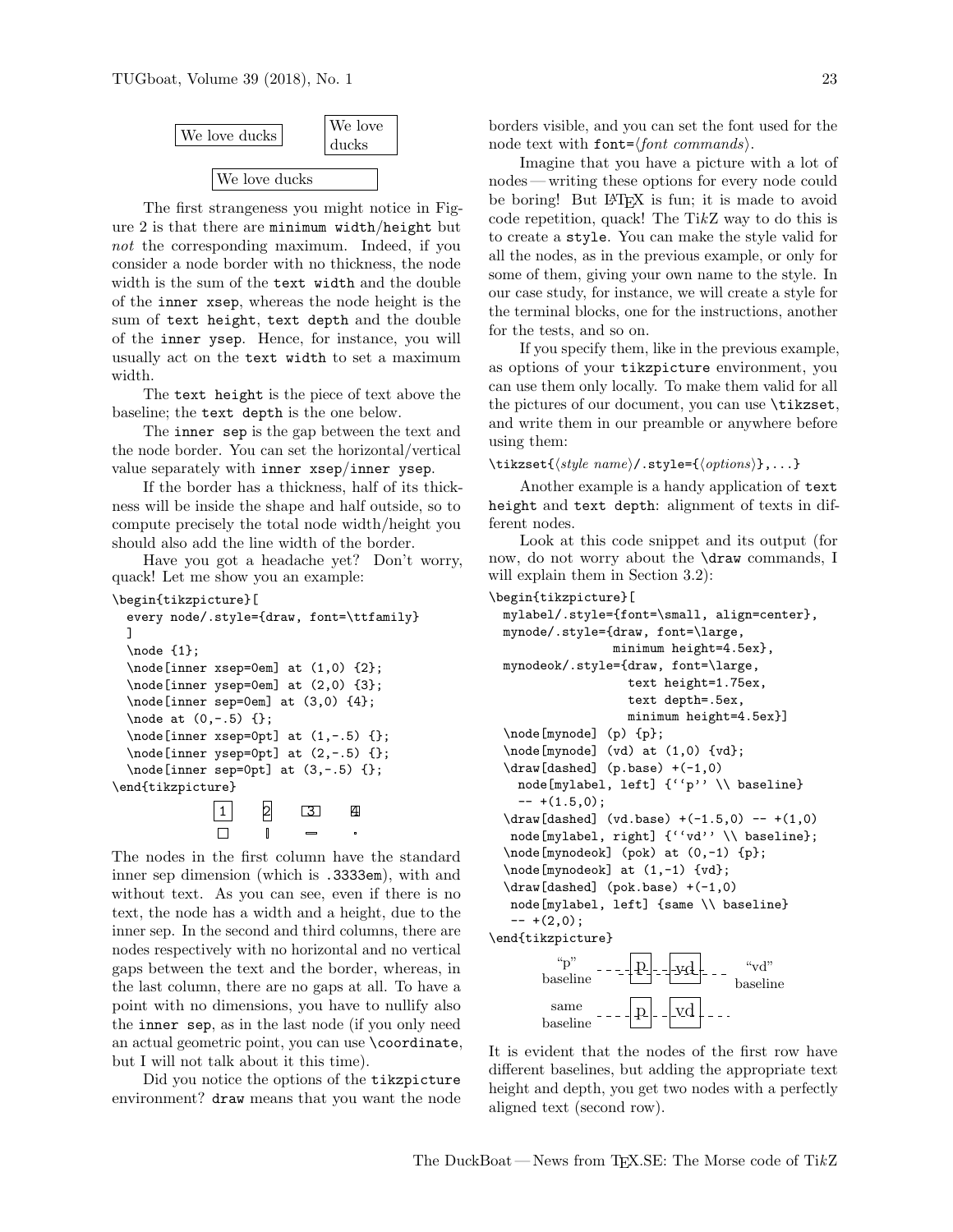

The first strangeness you might notice in Figure [2](#page-1-1) is that there are minimum width/height but not the corresponding maximum. Indeed, if you consider a node border with no thickness, the node width is the sum of the text width and the double of the inner xsep, whereas the node height is the sum of text height, text depth and the double of the inner ysep. Hence, for instance, you will usually act on the text width to set a maximum width.

The text height is the piece of text above the baseline; the text depth is the one below.

The inner sep is the gap between the text and the node border. You can set the horizontal/vertical value separately with inner xsep/inner ysep.

If the border has a thickness, half of its thickness will be inside the shape and half outside, so to compute precisely the total node width/height you should also add the line width of the border.

Have you got a headache yet? Don't worry, quack! Let me show you an example:

```
\begin{tikzpicture}[
```

```
every node/.style={draw, font=\ttfamily}
  ]
  \node {1};
  \node[inner xsep=0em] at (1,0) {2};
  \node[inner ysep=0em] at (2,0) {3};
  \node[inner sep=0em] at (3,0) {4};
  \node at (0,-.5) {};
  \setminus \text{node[inner xsep=0pt] at } (1, -.5) {};
  \node[inner ysep=0pt] at (2,-.5) {};
  \node[inner sep=0pt] at (3,-.5) {};
\end{tikzpicture}
```
1 2 3 4  $\Box$  $\mathbb{I}$ 

The nodes in the first column have the standard inner sep dimension (which is .3333em), with and without text. As you can see, even if there is no text, the node has a width and a height, due to the inner sep. In the second and third columns, there are nodes respectively with no horizontal and no vertical gaps between the text and the border, whereas, in the last column, there are no gaps at all. To have a point with no dimensions, you have to nullify also the inner sep, as in the last node (if you only need an actual geometric point, you can use \coordinate, but I will not talk about it this time).

Did you notice the options of the tikzpicture environment? draw means that you want the node borders visible, and you can set the font used for the node text with font= $\langle$  font commands $\rangle$ .

Imagine that you have a picture with a lot of nodes— writing these options for every node could be boring! But LAT<sub>F</sub>X is fun; it is made to avoid code repetition, quack! The TikZ way to do this is to create a style. You can make the style valid for all the nodes, as in the previous example, or only for some of them, giving your own name to the style. In our case study, for instance, we will create a style for the terminal blocks, one for the instructions, another for the tests, and so on.

If you specify them, like in the previous example, as options of your tikzpicture environment, you can use them only locally. To make them valid for all the pictures of our document, you can use \tikzset, and write them in our preamble or anywhere before using them:

\tikzset{ $\langle style\ name\rangle/\text{.style}=\{\langle options\rangle\}$ ,...}

Another example is a handy application of text height and text depth: alignment of texts in different nodes.

Look at this code snippet and its output (for now, do not worry about the \draw commands, I will explain them in Section [3.2\)](#page-4-1):

```
\begin{tikzpicture}[
 mylabel/.style={font=\small, align=center},
 mynode/.style={draw, font=\large,
                 minimum height=4.5ex},
 mynodeok/.style={draw, font=\large,
                   text height=1.75ex,
                   text depth=.5ex,
                   minimum height=4.5ex}]
  \node[mynode] (p) {p};
  \node[mynode] (vd) at (1,0) {vd};
  \draw[dashed] (p.base) +(-1,0)
   node[mylabel, left] {''p'' \\ baseline}
    -- + (1.5,0);\d{raw}[dashed] (vd.base) +(-1.5,0) -- +(1,0)
  node[mylabel, right] {''vd'' \\ baseline};
  \node[mynodeok] (pok) at (0,-1) {p};
  \node[mynodeok] at (1,-1) {vd};
  \draw[dashed] (pok.base) +(-1,0)
  node[mylabel, left] {same \\ baseline}
   -+ (2,0);
\end{tikzpicture}
         p vd "p"
       baseline
                                    ``\text{vd}"baseline
```
It is evident that the nodes of the first row have different baselines, but adding the appropriate text height and depth, you get two nodes with a perfectly aligned text (second row).

 $\sum_{v}$  ----  $|p|$ --vd

baseline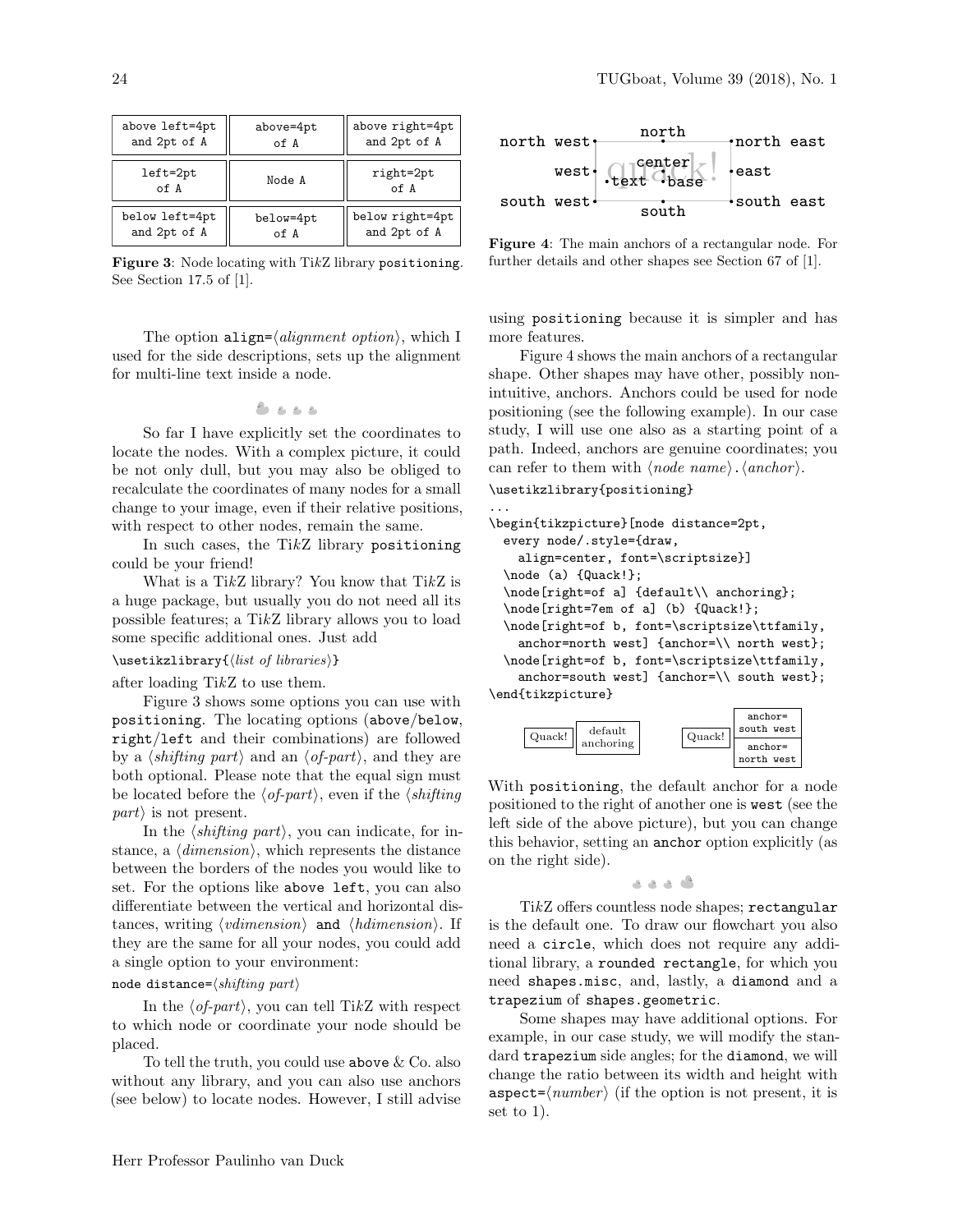<span id="page-3-0"></span>

| above left=4pt     | above=4pt | above right=4pt   |
|--------------------|-----------|-------------------|
| and 2pt of A       | of A      | and 2pt of A      |
| $left=2pt$<br>of A | Node A    | right=2pt<br>of A |
| below left=4pt     | below=4pt | below right=4pt   |
| and 2pt of A       | of A      | and 2pt of A      |

Figure 3: Node locating with TikZ library positioning. See Section 17.5 of [\[1\]](#page-5-0).

The option align= $\langle alignment\ option \rangle$ , which I used for the side descriptions, sets up the alignment for multi-line text inside a node.

$$
\clubsuit \bullet \bullet \bullet
$$

So far I have explicitly set the coordinates to locate the nodes. With a complex picture, it could be not only dull, but you may also be obliged to recalculate the coordinates of many nodes for a small change to your image, even if their relative positions, with respect to other nodes, remain the same.

In such cases, the TikZ library positioning could be your friend!

What is a TikZ library? You know that TikZ is a huge package, but usually you do not need all its possible features; a TikZ library allows you to load some specific additional ones. Just add

#### $\text{listzlibrary}{\list of \ libraries}$

after loading TikZ to use them.

Figure [3](#page-3-0) shows some options you can use with positioning. The locating options (above/below, right/left and their combinations) are followed by a  $\langle \textit{shifting part} \rangle$  and an  $\langle \textit{of-part} \rangle$ , and they are both optional. Please note that the equal sign must be located before the  $\langle$  of-part $\rangle$ , even if the  $\langle$  shifting  $part$  is not present.

In the  $\langle \textit{shifting part} \rangle$ , you can indicate, for instance, a  $\langle dimension \rangle$ , which represents the distance between the borders of the nodes you would like to set. For the options like above left, you can also differentiate between the vertical and horizontal distances, writing  $\langle vdimension \rangle$  and  $\langle hdimension \rangle$ . If they are the same for all your nodes, you could add a single option to your environment:

# node distance= $\langle \textit{shifting part} \rangle$

In the  $\langle$  of-part $\rangle$ , you can tell TikZ with respect to which node or coordinate your node should be placed.

To tell the truth, you could use above  $\&$  Co. also without any library, and you can also use anchors (see below) to locate nodes. However, I still advise

<span id="page-3-1"></span>

Figure 4: The main anchors of a rectangular node. For further details and other shapes see Section 67 of [\[1\]](#page-5-0).

using positioning because it is simpler and has more features.

Figure [4](#page-3-1) shows the main anchors of a rectangular shape. Other shapes may have other, possibly nonintuitive, anchors. Anchors could be used for node positioning (see the following example). In our case study, I will use one also as a starting point of a path. Indeed, anchors are genuine coordinates; you can refer to them with  $\langle node \ name \rangle$ .  $\langle anchor \rangle$ .

\usetikzlibrary{positioning}

```
...
\begin{tikzpicture}[node distance=2pt,
  every node/.style={draw,
    align=center, font=\scriptsize}]
  \node (a) {Quack!};
  \node[right=of a] {default\\ anchoring};
  \node[right=7em of a] (b) {Quack!};
  \node[right=of b, font=\scriptsize\ttfamily,
    anchor=north west] {anchor=\\ north west};
  \node[right=of b, font=\scriptsize\ttfamily,
    anchor=south west] {anchor=\\ south west};
\end{tikzpicture}
     \overline{\text{Quack!}} default
                                      anchor=
                                     south west
```
With positioning, the default anchor for a node positioned to the right of another one is west (see the left side of the above picture), but you can change this behavior, setting an anchor option explicitly (as on the right side).

anchoring Quack!

anchor= north west

$$
\ldots \vphantom{\sum_{X_X}^X}
$$

TikZ offers countless node shapes; rectangular is the default one. To draw our flowchart you also need a circle, which does not require any additional library, a rounded rectangle, for which you need shapes.misc, and, lastly, a diamond and a trapezium of shapes.geometric.

Some shapes may have additional options. For example, in our case study, we will modify the standard trapezium side angles; for the diamond, we will change the ratio between its width and height with aspect= $\langle number \rangle$  (if the option is not present, it is set to 1).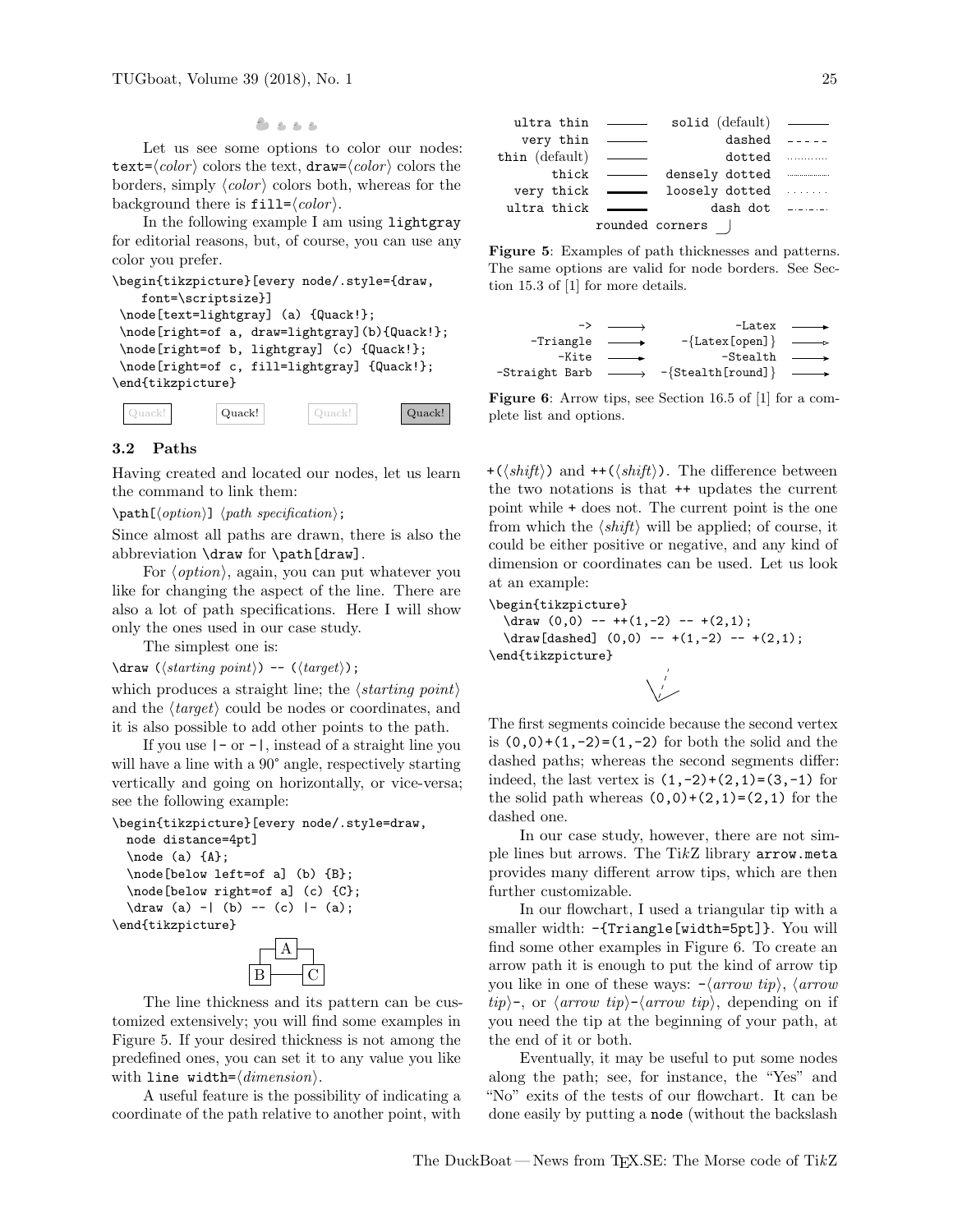Let us see some options to color our nodes: text= $\langle color \rangle$  colors the text, draw= $\langle color \rangle$  colors the borders, simply  $\langle color \rangle$  colors both, whereas for the background there is  $\texttt{fill}=\langle color \rangle$ .

In the following example I am using lightgray for editorial reasons, but, of course, you can use any color you prefer.

```
\begin{tikzpicture}[every node/.style={draw,
     font=\scriptsize}]
 \node[text=lightgray] (a) {Quack!};
 \node[right=of a, draw=lightgray](b){Quack!};
 \node[right=of b, lightgray] (c) {Quack!};
 \node[right=of c, fill=lightgray] {Quack!};
\end{tikzpicture}
Example the scheme to also example to another stress of the path relationship of the second stress of the path relationship of the path relationship of the path relationship of the stress of the path relationship of the
```

|  |  | Quack! | 1120k | Quack! |
|--|--|--------|-------|--------|
|--|--|--------|-------|--------|

# <span id="page-4-1"></span>3.2 Paths

Having created and located our nodes, let us learn the command to link them:

 $\path[\langle option \rangle] \langle path\ specification \rangle;$ 

Since almost all paths are drawn, there is also the abbreviation \draw for \path[draw].

For  $\langle option \rangle$ , again, you can put whatever you like for changing the aspect of the line. There are also a lot of path specifications. Here I will show only the ones used in our case study.

The simplest one is:

 $\langle \langle \hat{h} \rangle \rangle$  --  $(\langle \hat{h} \rangle)$ ;

which produces a straight line; the  $\langle starting\ point \rangle$ and the  $\langle target \rangle$  could be nodes or coordinates, and it is also possible to add other points to the path.

If you use  $|-$  or  $-|$ , instead of a straight line you will have a line with a 90 $^{\circ}$  angle, respectively starting vertically and going on horizontally, or vice-versa; see the following example:

```
\begin{tikzpicture}[every node/.style=draw,
 node distance=4pt]
  \n\node (a) {A};\node[below left=of a] (b) {B};
  \node[below right=of a] (c) {C};
  \dagger \dagger (a) -| (b) -- (c) |- (a);
\end{tikzpicture}
```


The line thickness and its pattern can be customized extensively; you will find some examples in Figure [5.](#page-4-0) If your desired thickness is not among the predefined ones, you can set it to any value you like with line width= $\langle dimension \rangle$ .

A useful feature is the possibility of indicating a

<span id="page-4-0"></span>

Figure 5: Examples of path thicknesses and patterns. The same options are valid for node borders. See Section 15.3 of [\[1\]](#page-5-0) for more details.

<span id="page-4-2"></span>

Figure 6: Arrow tips, see Section 16.5 of [\[1\]](#page-5-0) for a complete list and options.

+( $\langle shift \rangle$ ) and ++( $\langle shift \rangle$ ). The difference between the two notations is that ++ updates the current point while + does not. The current point is the one from which the  $\langle shift \rangle$  will be applied; of course, it could be either positive or negative, and any kind of dimension or coordinates can be used. Let us look at an example:

\begin{tikzpicture}

 $\d$ raw  $(0,0)$  -- ++ $(1,-2)$  -- + $(2,1)$ ;  $\d$ raw[dashed]  $(0,0)$  -- +(1,-2) -- +(2,1); \end{tikzpicture}

The first segments coincide because the second vertex is  $(0,0)+(1,-2)=(1,-2)$  for both the solid and the dashed paths; whereas the second segments differ: indeed, the last vertex is  $(1,-2)+(2,1)=(3,-1)$  for the solid path whereas  $(0,0)+(2,1)=(2,1)$  for the dashed one.

In our case study, however, there are not simple lines but arrows. The  $TikZ$  library arrow.meta provides many different arrow tips, which are then further customizable.

In our flowchart, I used a triangular tip with a smaller width: -{Triangle[width=5pt]}. You will find some other examples in Figure [6.](#page-4-2) To create an arrow path it is enough to put the kind of arrow tip you like in one of these ways:  $-\langle arrow \ tip \rangle$ ,  $\langle arrow \$  $tip$ , or  $\langle arrow \ tip \rangle$ - $\langle arrow \ tip \rangle$ , depending on if you need the tip at the beginning of your path, at the end of it or both.

Eventually, it may be useful to put some nodes along the path; see, for instance, the "Yes" and "No" exits of the tests of our flowchart. It can be done easily by putting a node (without the backslash